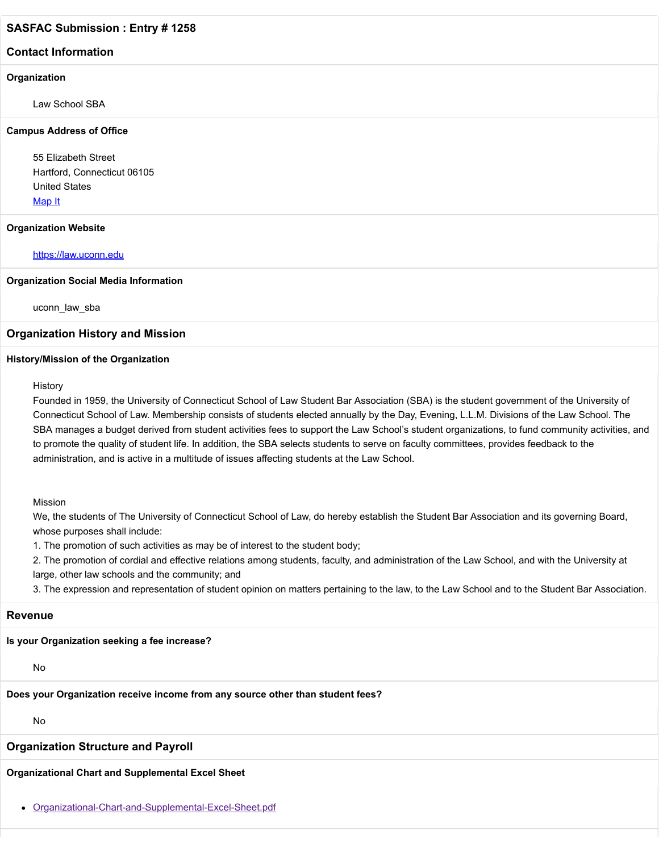### **Contact Information**

#### **Organization**

Law School SBA

#### **Campus Address of Office**

55 Elizabeth Street Hartford, Connecticut 06105 United States [Map It](http://maps.google.com/maps?q=55+Elizabeth+Street+Hartford%2C+Connecticut+06105+United+States)

#### **Organization Website**

#### [https://law.uconn.edu](https://law.uconn.edu/)

#### **Organization Social Media Information**

uconn\_law\_sba

#### **Organization History and Mission**

#### **History/Mission of the Organization**

History

Founded in 1959, the University of Connecticut School of Law Student Bar Association (SBA) is the student government of the University of Connecticut School of Law. Membership consists of students elected annually by the Day, Evening, L.L.M. Divisions of the Law School. The SBA manages a budget derived from student activities fees to support the Law School's student organizations, to fund community activities, and to promote the quality of student life. In addition, the SBA selects students to serve on faculty committees, provides feedback to the administration, and is active in a multitude of issues affecting students at the Law School.

#### Mission

We, the students of The University of Connecticut School of Law, do hereby establish the Student Bar Association and its governing Board, whose purposes shall include:

1. The promotion of such activities as may be of interest to the student body;

2. The promotion of cordial and effective relations among students, faculty, and administration of the Law School, and with the University at large, other law schools and the community; and

3. The expression and representation of student opinion on matters pertaining to the law, to the Law School and to the Student Bar Association.

#### **Revenue**

### **Is your Organization seeking a fee increase?**

No

## **Does your Organization receive income from any source other than student fees?**

No

## **Organization Structure and Payroll**

**Organizational Chart and Supplemental Excel Sheet**

[Organizational-Chart-and-Supplemental-Excel-Sheet.pdf](https://trusteeorgsupport.uconn.edu/index.php?gf-download=2022%2F02%2FOrganizational-Chart-and-Supplemental-Excel-Sheet.pdf&form-id=18&field-id=13&hash=1c31cbf4699dd13235842bae5c0bd4efc302b60ca78a1421d2dca0544565ff0b)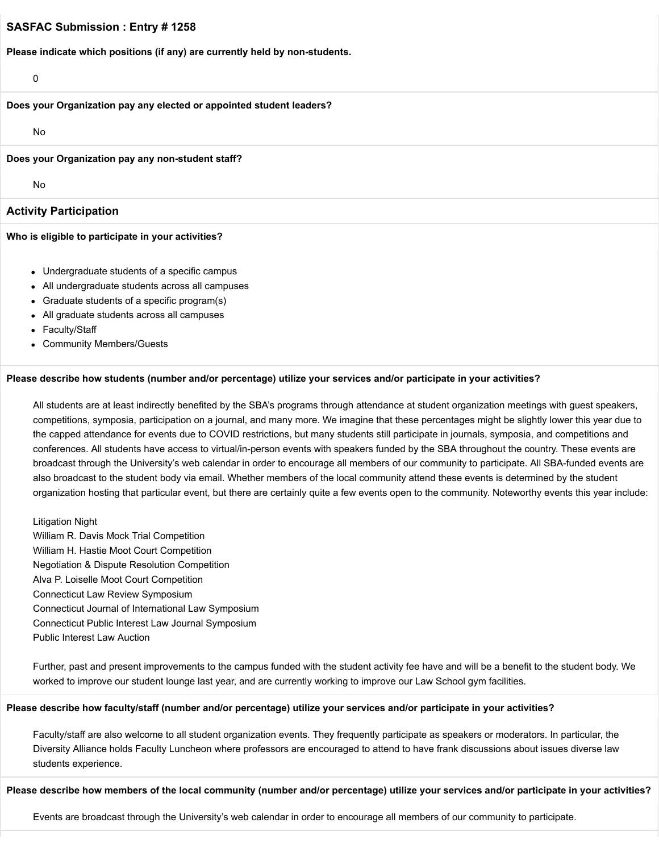**Please indicate which positions (if any) are currently held by non-students.**

0

#### **Does your Organization pay any elected or appointed student leaders?**

No

#### **Does your Organization pay any non-student staff?**

No

### **Activity Participation**

#### **Who is eligible to participate in your activities?**

- Undergraduate students of a specific campus
- All undergraduate students across all campuses
- Graduate students of a specific program(s)
- All graduate students across all campuses
- Faculty/Staff
- Community Members/Guests

#### **Please describe how students (number and/or percentage) utilize your services and/or participate in your activities?**

All students are at least indirectly benefited by the SBA's programs through attendance at student organization meetings with guest speakers, competitions, symposia, participation on a journal, and many more. We imagine that these percentages might be slightly lower this year due to the capped attendance for events due to COVID restrictions, but many students still participate in journals, symposia, and competitions and conferences. All students have access to virtual/in-person events with speakers funded by the SBA throughout the country. These events are broadcast through the University's web calendar in order to encourage all members of our community to participate. All SBA-funded events are also broadcast to the student body via email. Whether members of the local community attend these events is determined by the student organization hosting that particular event, but there are certainly quite a few events open to the community. Noteworthy events this year include:

Litigation Night William R. Davis Mock Trial Competition William H. Hastie Moot Court Competition Negotiation & Dispute Resolution Competition Alva P. Loiselle Moot Court Competition Connecticut Law Review Symposium Connecticut Journal of International Law Symposium Connecticut Public Interest Law Journal Symposium Public Interest Law Auction

Further, past and present improvements to the campus funded with the student activity fee have and will be a benefit to the student body. We worked to improve our student lounge last year, and are currently working to improve our Law School gym facilities.

#### **Please describe how faculty/staff (number and/or percentage) utilize your services and/or participate in your activities?**

Faculty/staff are also welcome to all student organization events. They frequently participate as speakers or moderators. In particular, the Diversity Alliance holds Faculty Luncheon where professors are encouraged to attend to have frank discussions about issues diverse law students experience.

#### **Please describe how members of the local community (number and/or percentage) utilize your services and/or participate in your activities?**

Events are broadcast through the University's web calendar in order to encourage all members of our community to participate.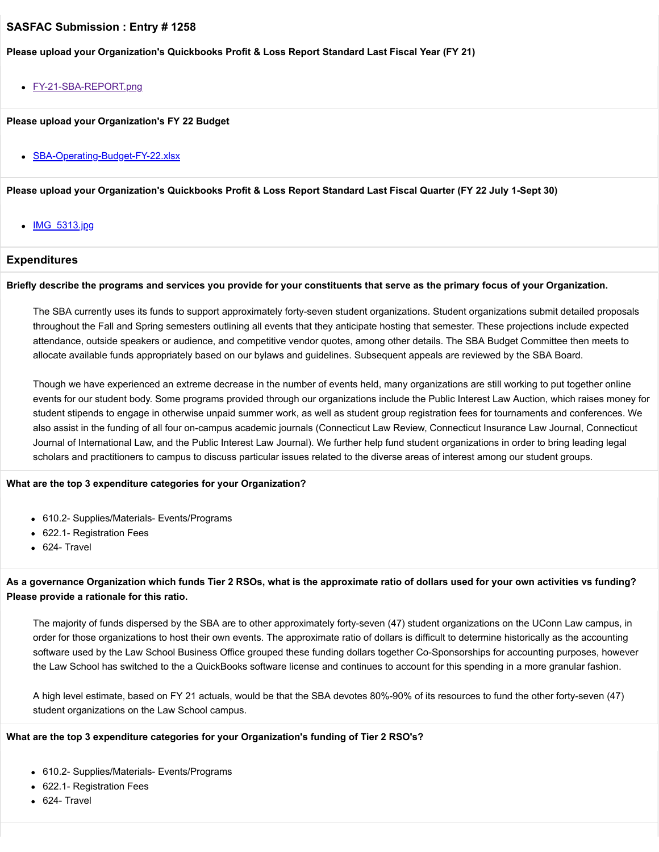### **Please upload your Organization's Quickbooks Profit & Loss Report Standard Last Fiscal Year (FY 21)**

[FY-21-SBA-REPORT.png](https://trusteeorgsupport.uconn.edu/index.php?gf-download=2022%2F02%2FFY-21-SBA-REPORT.png&form-id=18&field-id=62&hash=d539aafeeac971bdb42371a1323ad83a1ff22bbcfeb4f168fded1babe8e40bd8)

**Please upload your Organization's FY 22 Budget**

• [SBA-Operating-Budget-FY-22.xlsx](https://trusteeorgsupport.uconn.edu/index.php?gf-download=2022%2F02%2FSBA-Operating-Budget-FY-22.xlsx&form-id=18&field-id=65&hash=b9a6cec8655ee9338f657020407476cb22f0e4a3dce57a589332f090789c5506)

**Please upload your Organization's Quickbooks Profit & Loss Report Standard Last Fiscal Quarter (FY 22 July 1-Sept 30)**

• **IMG** 5313.jpg

## **Expenditures**

#### **Briefly describe the programs and services you provide for your constituents that serve as the primary focus of your Organization.**

The SBA currently uses its funds to support approximately forty-seven student organizations. Student organizations submit detailed proposals throughout the Fall and Spring semesters outlining all events that they anticipate hosting that semester. These projections include expected attendance, outside speakers or audience, and competitive vendor quotes, among other details. The SBA Budget Committee then meets to allocate available funds appropriately based on our bylaws and guidelines. Subsequent appeals are reviewed by the SBA Board.

Though we have experienced an extreme decrease in the number of events held, many organizations are still working to put together online events for our student body. Some programs provided through our organizations include the Public Interest Law Auction, which raises money for student stipends to engage in otherwise unpaid summer work, as well as student group registration fees for tournaments and conferences. We also assist in the funding of all four on-campus academic journals (Connecticut Law Review, Connecticut Insurance Law Journal, Connecticut Journal of International Law, and the Public Interest Law Journal). We further help fund student organizations in order to bring leading legal scholars and practitioners to campus to discuss particular issues related to the diverse areas of interest among our student groups.

#### **What are the top 3 expenditure categories for your Organization?**

- 610.2- Supplies/Materials- Events/Programs
- 622.1- Registration Fees
- 624- Travel

## **As a governance Organization which funds Tier 2 RSOs, what is the approximate ratio of dollars used for your own activities vs funding? Please provide a rationale for this ratio.**

The majority of funds dispersed by the SBA are to other approximately forty-seven (47) student organizations on the UConn Law campus, in order for those organizations to host their own events. The approximate ratio of dollars is difficult to determine historically as the accounting software used by the Law School Business Office grouped these funding dollars together Co-Sponsorships for accounting purposes, however the Law School has switched to the a QuickBooks software license and continues to account for this spending in a more granular fashion.

A high level estimate, based on FY 21 actuals, would be that the SBA devotes 80%-90% of its resources to fund the other forty-seven (47) student organizations on the Law School campus.

### **What are the top 3 expenditure categories for your Organization's funding of Tier 2 RSO's?**

- 610.2- Supplies/Materials- Events/Programs
- 622.1- Registration Fees
- 624- Travel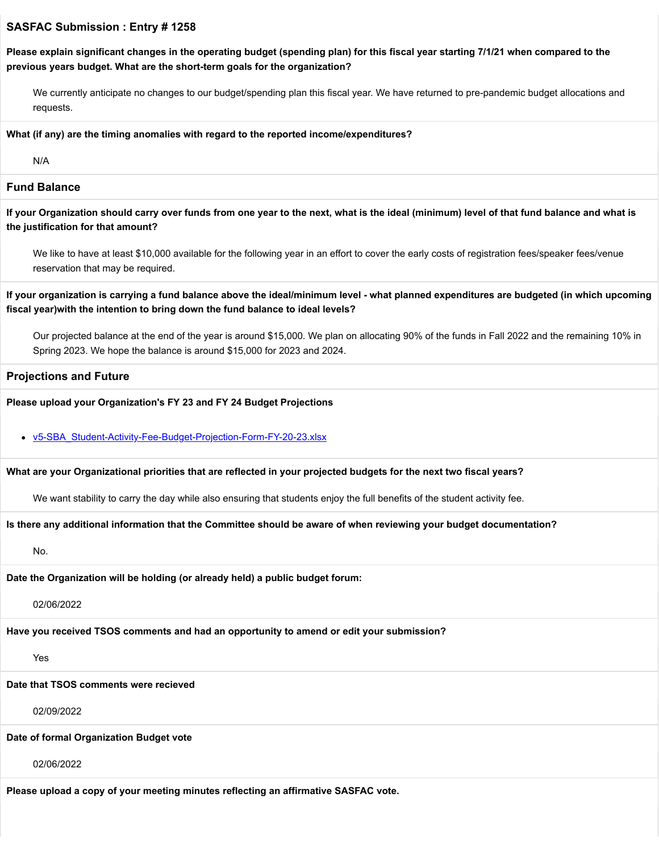**Please explain significant changes in the operating budget (spending plan) for this fiscal year starting 7/1/21 when compared to the previous years budget. What are the short-term goals for the organization?**

We currently anticipate no changes to our budget/spending plan this fiscal year. We have returned to pre-pandemic budget allocations and requests.

#### **What (if any) are the timing anomalies with regard to the reported income/expenditures?**

N/A

#### **Fund Balance**

**If your Organization should carry over funds from one year to the next, what is the ideal (minimum) level of that fund balance and what is the justification for that amount?**

We like to have at least \$10,000 available for the following year in an effort to cover the early costs of registration fees/speaker fees/venue reservation that may be required.

**If your organization is carrying a fund balance above the ideal/minimum level - what planned expenditures are budgeted (in which upcoming fiscal year)with the intention to bring down the fund balance to ideal levels?**

Our projected balance at the end of the year is around \$15,000. We plan on allocating 90% of the funds in Fall 2022 and the remaining 10% in Spring 2023. We hope the balance is around \$15,000 for 2023 and 2024.

#### **Projections and Future**

#### **Please upload your Organization's FY 23 and FY 24 Budget Projections**

### [v5-SBA\\_Student-Activity-Fee-Budget-Projection-Form-FY-20-23.xlsx](https://trusteeorgsupport.uconn.edu/index.php?gf-download=2022%2F02%2Fv5-SBA_Student-Activity-Fee-Budget-Projection-Form-FY-20-23.xlsx&form-id=18&field-id=63&hash=eeb4b90b07f9ec4186872d5b9f9bb599f67cf4f8d870bc97408a6819eee2bda9)

#### **What are your Organizational priorities that are reflected in your projected budgets for the next two fiscal years?**

We want stability to carry the day while also ensuring that students enjoy the full benefits of the student activity fee.

#### **Is there any additional information that the Committee should be aware of when reviewing your budget documentation?**

No.

**Date the Organization will be holding (or already held) a public budget forum:**

02/06/2022

**Have you received TSOS comments and had an opportunity to amend or edit your submission?**

Yes

#### **Date that TSOS comments were recieved**

02/09/2022

#### **Date of formal Organization Budget vote**

02/06/2022

**Please upload a copy of your meeting minutes reflecting an affirmative SASFAC vote.**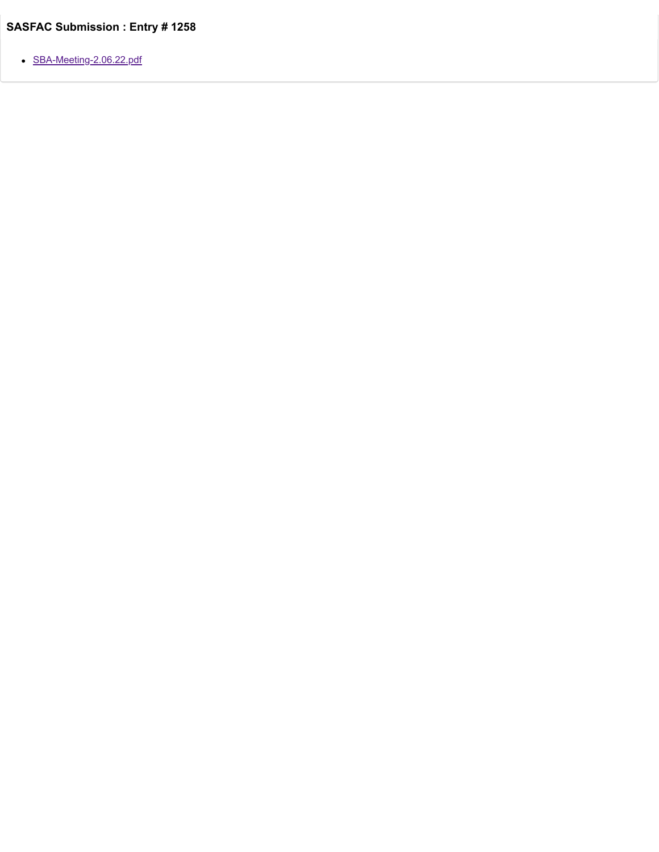[SBA-Meeting-2.06.22.pdf](https://trusteeorgsupport.uconn.edu/index.php?gf-download=2022%2F02%2FSBA-Meeting-2.06.22.pdf&form-id=18&field-id=57&hash=b63559a1247d4665f8b24709f6da27982e233afde3f01a8da1313b9990c0eaf6)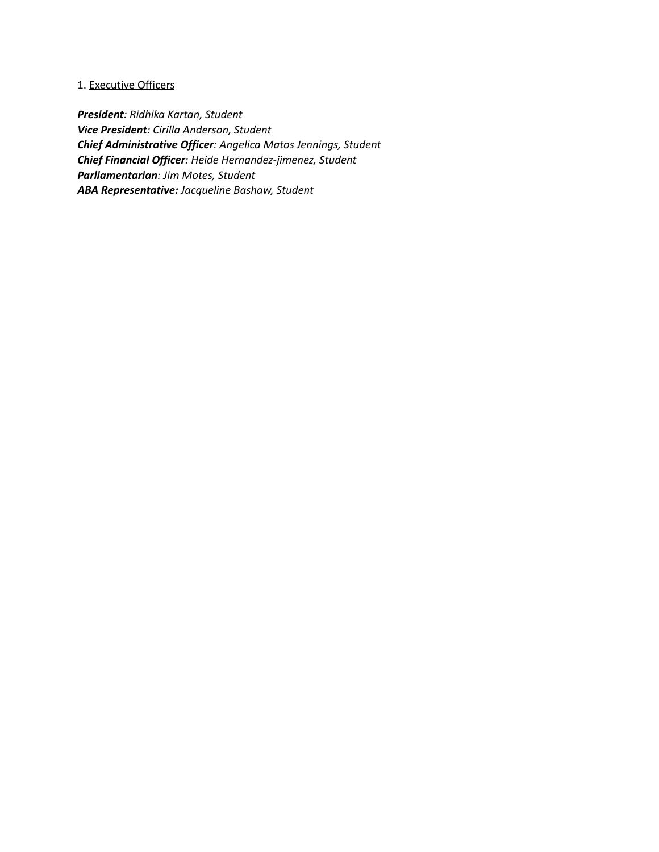# 1. Executive Officers

*President: Ridhika Kartan, Student Vice President: Cirilla Anderson, Student Chief Administrative Officer: Angelica Matos Jennings, Student Chief Financial Officer: Heide Hernandez-jimenez, Student Parliamentarian: Jim Motes, Student ABA Representative: Jacqueline Bashaw, Student*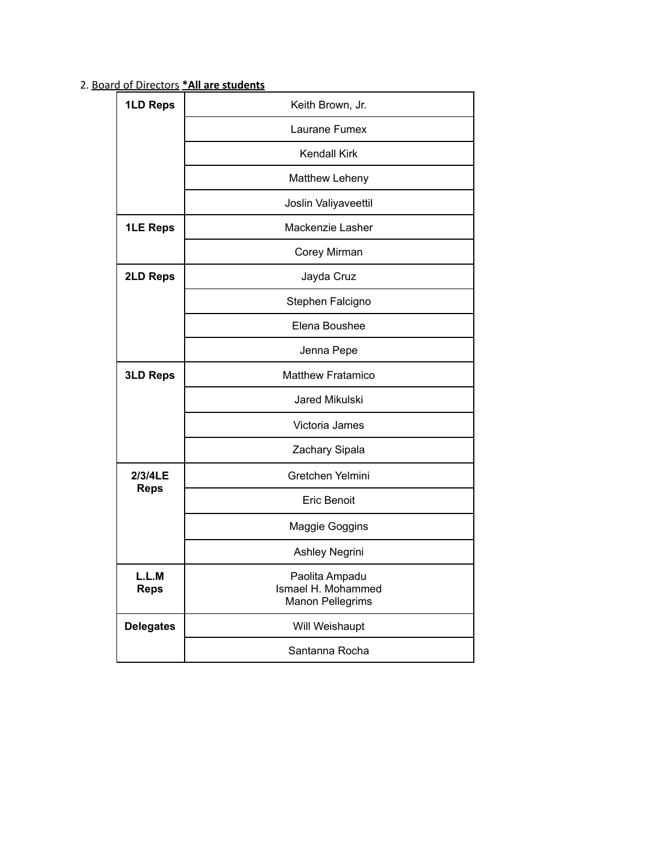| 1LD Reps             | Keith Brown, Jr.                                         |  |  |  |  |  |
|----------------------|----------------------------------------------------------|--|--|--|--|--|
|                      | Laurane Fumex                                            |  |  |  |  |  |
|                      | Kendall Kirk                                             |  |  |  |  |  |
|                      | Matthew Leheny                                           |  |  |  |  |  |
|                      | Joslin Valiyaveettil                                     |  |  |  |  |  |
| <b>1LE Reps</b>      | Mackenzie Lasher                                         |  |  |  |  |  |
|                      | Corey Mirman                                             |  |  |  |  |  |
| <b>2LD Reps</b>      | Jayda Cruz                                               |  |  |  |  |  |
|                      | Stephen Falcigno                                         |  |  |  |  |  |
|                      | Elena Boushee                                            |  |  |  |  |  |
|                      | Jenna Pepe                                               |  |  |  |  |  |
| <b>3LD Reps</b>      | <b>Matthew Fratamico</b>                                 |  |  |  |  |  |
|                      | Jared Mikulski                                           |  |  |  |  |  |
|                      | Victoria James                                           |  |  |  |  |  |
|                      | Zachary Sipala                                           |  |  |  |  |  |
| 2/3/4LE              | Gretchen Yelmini                                         |  |  |  |  |  |
| <b>Reps</b>          | <b>Eric Benoit</b>                                       |  |  |  |  |  |
|                      | Maggie Goggins                                           |  |  |  |  |  |
|                      | Ashley Negrini                                           |  |  |  |  |  |
| L.L.M<br><b>Reps</b> | Paolita Ampadu<br>Ismael H. Mohammed<br>Manon Pellegrims |  |  |  |  |  |
| <b>Delegates</b>     | Will Weishaupt                                           |  |  |  |  |  |
|                      | Santanna Rocha                                           |  |  |  |  |  |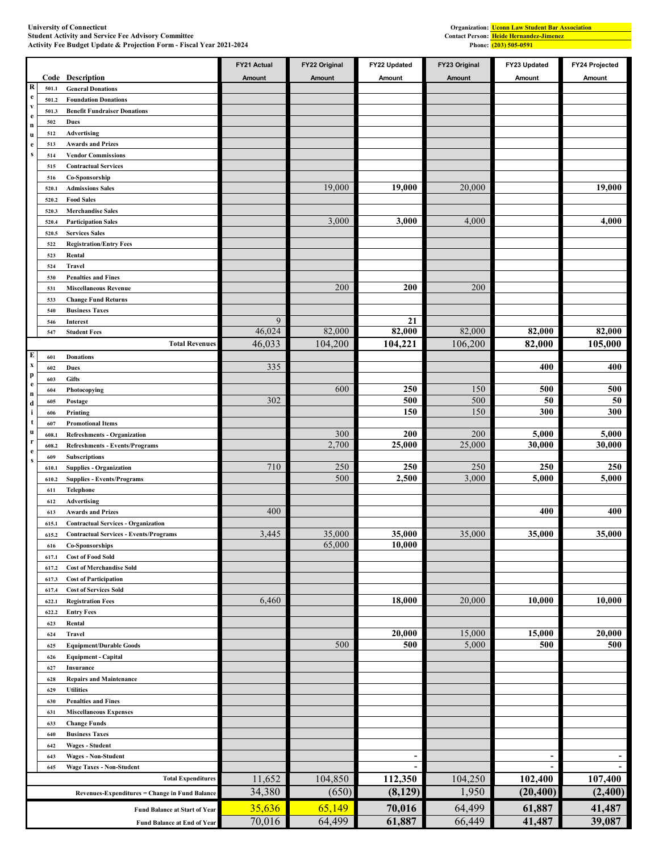|                                      |                |                                                                                             | FY21 Actual      | FY22 Original     | FY22 Updated                     | FY23 Original     | FY23 Updated                     | FY24 Projected  |
|--------------------------------------|----------------|---------------------------------------------------------------------------------------------|------------------|-------------------|----------------------------------|-------------------|----------------------------------|-----------------|
|                                      | Code           | <b>Description</b>                                                                          | Amount           | Amount            | Amount                           | Amount            | Amount                           | Amount          |
| R<br>$\mathbf{e}$                    | 501.1          | <b>General Donations</b>                                                                    |                  |                   |                                  |                   |                                  |                 |
| $\mathbf{v}$                         | 501.2<br>501.3 | <b>Foundation Donations</b><br><b>Benefit Fundraiser Donations</b>                          |                  |                   |                                  |                   |                                  |                 |
| $\mathbf{e}$                         | 502            | <b>Dues</b>                                                                                 |                  |                   |                                  |                   |                                  |                 |
| $\mathbf n$<br>u                     | 512            | Advertising                                                                                 |                  |                   |                                  |                   |                                  |                 |
| e                                    | 513            | <b>Awards and Prizes</b>                                                                    |                  |                   |                                  |                   |                                  |                 |
| ${\bf S}$                            | 514            | <b>Vendor Commissions</b>                                                                   |                  |                   |                                  |                   |                                  |                 |
|                                      | 515            | <b>Contractual Services</b>                                                                 |                  |                   |                                  |                   |                                  |                 |
|                                      | 516<br>520.1   | Co-Sponsorship<br><b>Admissions Sales</b>                                                   |                  | 19,000            | 19,000                           | 20,000            |                                  | 19,000          |
|                                      | 520.2          | <b>Food Sales</b>                                                                           |                  |                   |                                  |                   |                                  |                 |
|                                      | 520.3          | <b>Merchandise Sales</b>                                                                    |                  |                   |                                  |                   |                                  |                 |
|                                      | 520.4          | <b>Participation Sales</b>                                                                  |                  | 3,000             | 3,000                            | 4,000             |                                  | 4,000           |
|                                      | 520.5          | <b>Services Sales</b>                                                                       |                  |                   |                                  |                   |                                  |                 |
|                                      | 522            | <b>Registration/Entry Fees</b>                                                              |                  |                   |                                  |                   |                                  |                 |
|                                      | 523            | Rental<br><b>Travel</b>                                                                     |                  |                   |                                  |                   |                                  |                 |
|                                      | 524<br>530     | <b>Penalties and Fines</b>                                                                  |                  |                   |                                  |                   |                                  |                 |
|                                      | 531            | <b>Miscellaneous Revenue</b>                                                                |                  | 200               | 200                              | 200               |                                  |                 |
|                                      | 533            | <b>Change Fund Returns</b>                                                                  |                  |                   |                                  |                   |                                  |                 |
|                                      | 540            | <b>Business Taxes</b>                                                                       |                  |                   |                                  |                   |                                  |                 |
|                                      | 546            | Interest                                                                                    | 9                |                   | 21                               |                   |                                  |                 |
|                                      | 547            | <b>Student Fees</b><br><b>Total Revenues</b>                                                | 46,024<br>46,033 | 82,000<br>104,200 | 82,000                           | 82,000<br>106,200 | 82,000<br>82,000                 | 82,000          |
| E                                    | 601            | <b>Donations</b>                                                                            |                  |                   | 104,221                          |                   |                                  | 105,000         |
| $\boldsymbol{\mathrm{x}}$            | 602            | <b>Dues</b>                                                                                 | 335              |                   |                                  |                   | 400                              | 400             |
| p                                    | 603            | Gifts                                                                                       |                  |                   |                                  |                   |                                  |                 |
| $\mathbf{e}$<br>$\mathbf n$          | 604            | Photocopying                                                                                |                  | 600               | 250                              | 150               | 500                              | 500             |
| d                                    | 605            | Postage                                                                                     | 302              |                   | 500                              | 500               | 50                               | 50              |
| i                                    | 606            | Printing                                                                                    |                  |                   | 150                              | 150               | 300                              | 300             |
| t<br>u                               | 607            | <b>Promotional Items</b>                                                                    |                  |                   |                                  |                   |                                  |                 |
| $\mathbf r$                          | 608.1          | <b>Refreshments - Organization</b>                                                          |                  | 300<br>2,700      | 200<br>25,000                    | 200<br>25,000     | 5,000<br>30,000                  | 5,000<br>30,000 |
| e                                    | 608.2<br>609   | <b>Refreshments - Events/Programs</b><br><b>Subscriptions</b>                               |                  |                   |                                  |                   |                                  |                 |
| ${\bf S}$                            | 610.1          | <b>Supplies - Organization</b>                                                              | 710              | 250               | 250                              | 250               | 250                              | 250             |
|                                      | 610.2          | <b>Supplies - Events/Programs</b>                                                           |                  | 500               | 2,500                            | 3,000             | 5,000                            | 5,000           |
|                                      | 611            | Telephone                                                                                   |                  |                   |                                  |                   |                                  |                 |
|                                      | 612            | Advertising                                                                                 |                  |                   |                                  |                   |                                  |                 |
|                                      | 613            | <b>Awards and Prizes</b>                                                                    | 400              |                   |                                  |                   | 400                              | 400             |
|                                      | 615.1<br>615.2 | <b>Contractual Services - Organization</b><br><b>Contractual Services - Events/Programs</b> | 3,445            | 35,000            | 35,000                           | 35,000            | 35,000                           | 35,000          |
|                                      | 616            | <b>Co-Sponsorships</b>                                                                      |                  | 65,000            | 10,000                           |                   |                                  |                 |
|                                      | 617.1          | <b>Cost of Food Sold</b>                                                                    |                  |                   |                                  |                   |                                  |                 |
|                                      | 617.2          | <b>Cost of Merchandise Sold</b>                                                             |                  |                   |                                  |                   |                                  |                 |
|                                      | 617.3          | <b>Cost of Participation</b>                                                                |                  |                   |                                  |                   |                                  |                 |
|                                      | 617.4          | <b>Cost of Services Sold</b>                                                                |                  |                   |                                  |                   |                                  |                 |
|                                      | 622.1<br>622.2 | <b>Registration Fees</b><br><b>Entry Fees</b>                                               | 6,460            |                   | 18,000                           | 20,000            | 10,000                           | 10,000          |
|                                      | 623            | Rental                                                                                      |                  |                   |                                  |                   |                                  |                 |
|                                      | 624            | <b>Travel</b>                                                                               |                  |                   | 20,000                           | 15,000            | 15,000                           | 20,000          |
|                                      | 625            | <b>Equipment/Durable Goods</b>                                                              |                  | 500               | 500                              | 5,000             | 500                              | 500             |
|                                      | 626            | <b>Equipment - Capital</b>                                                                  |                  |                   |                                  |                   |                                  |                 |
|                                      | 627            | Insurance                                                                                   |                  |                   |                                  |                   |                                  |                 |
|                                      | 628            | <b>Repairs and Maintenance</b>                                                              |                  |                   |                                  |                   |                                  |                 |
|                                      | 629<br>630     | <b>Utilities</b><br><b>Penalties and Fines</b>                                              |                  |                   |                                  |                   |                                  |                 |
|                                      | 631            | <b>Miscellaneous Expenses</b>                                                               |                  |                   |                                  |                   |                                  |                 |
|                                      | 633            | <b>Change Funds</b>                                                                         |                  |                   |                                  |                   |                                  |                 |
|                                      | 640            | <b>Business Taxes</b>                                                                       |                  |                   |                                  |                   |                                  |                 |
|                                      | 642            | <b>Wages - Student</b>                                                                      |                  |                   |                                  |                   |                                  |                 |
|                                      | 643            | <b>Wages - Non-Student</b>                                                                  |                  |                   | $\blacksquare$<br>$\blacksquare$ |                   | $\blacksquare$<br>$\blacksquare$ | $\blacksquare$  |
|                                      | 645            | <b>Wage Taxes - Non-Student</b><br><b>Total Expenditures</b>                                | 11,652           | 104,850           | 112,350                          | 104,250           | 102,400                          | 107,400         |
|                                      |                |                                                                                             | 34,380           | (650)             | (8,129)                          | 1,950             | (20, 400)                        | (2,400)         |
|                                      |                | <b>Revenues-Expenditures = Change in Fund Balance</b>                                       |                  |                   |                                  |                   |                                  |                 |
| <b>Fund Balance at Start of Year</b> |                |                                                                                             | 35,636           | 65,149            | 70,016                           | 64,499            | 61,887                           | 41,487          |
|                                      |                | <b>Fund Balance at End of Year</b>                                                          | 70,016           | 64,499            | 61,887                           | 66,449            | 41,487                           | 39,087          |

#### **University of Connecticut Student Activity and Service Fee Advisory Committee Contact Person: Activity Fee Budget Update & Projection Form - Fiscal Year 2021-2024 Phone:**

**(203) 505-0591 Uconn Law Student Bar Association Heide Hernandez-Jimenez**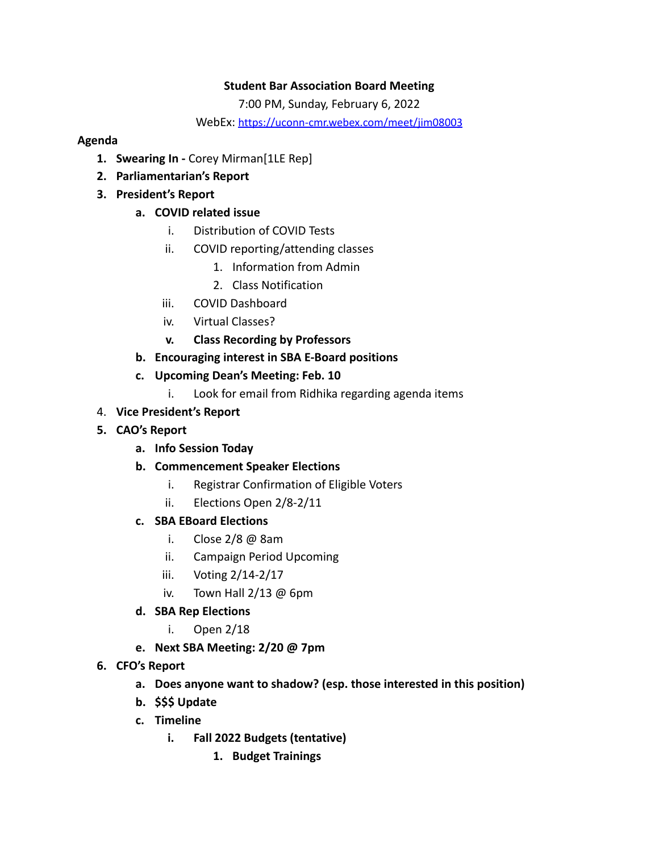# **Student Bar Association Board Meeting**

7:00 PM, Sunday, February 6, 2022

WebEx: [https://uconn-cmr.webex.com/meet/jim08003](https://nam10.safelinks.protection.outlook.com/?url=https%3A%2F%2Fuconn-cmr.webex.com%2Fmeet%2Fjim08003&data=02%7C01%7C%7Cd59a79e0800847b4750b08d7e86dd564%7C17f1a87e2a254eaab9df9d439034b080%7C0%7C0%7C637233430908844108&sdata=ibhmQcZi7FDiUmVe7BSX2Z8tBL6MpWfAtAKOZ9CdGCY%3D&reserved=0)

## **Agenda**

- **1. Swearing In -** Corey Mirman[1LE Rep]
- **2. Parliamentarian's Report**
- **3. President's Report**

## **a. COVID related issue**

- i. Distribution of COVID Tests
- ii. COVID reporting/attending classes
	- 1. Information from Admin
	- 2. Class Notification
- iii. COVID Dashboard
- iv. Virtual Classes?
- **v. Class Recording by Professors**
- **b. Encouraging interest in SBA E-Board positions**
- **c. Upcoming Dean's Meeting: Feb. 10**
	- i. Look for email from Ridhika regarding agenda items
- 4. **Vice President's Report**
- **5. CAO's Report**
	- **a. Info Session Today**
	- **b. Commencement Speaker Elections**
		- i. Registrar Confirmation of Eligible Voters
		- ii. Elections Open 2/8-2/11
	- **c. SBA EBoard Elections**
		- i. Close 2/8 @ 8am
		- ii. Campaign Period Upcoming
		- iii. Voting 2/14-2/17
		- iv. Town Hall  $2/13$  @ 6pm
	- **d. SBA Rep Elections**
		- i. Open 2/18
	- **e. Next SBA Meeting: 2/20 @ 7pm**
- **6. CFO's Report**
	- **a. Does anyone want to shadow? (esp. those interested in this position)**
	- **b. \$\$\$ Update**
	- **c. Timeline**
		- **i. Fall 2022 Budgets (tentative)**
			- **1. Budget Trainings**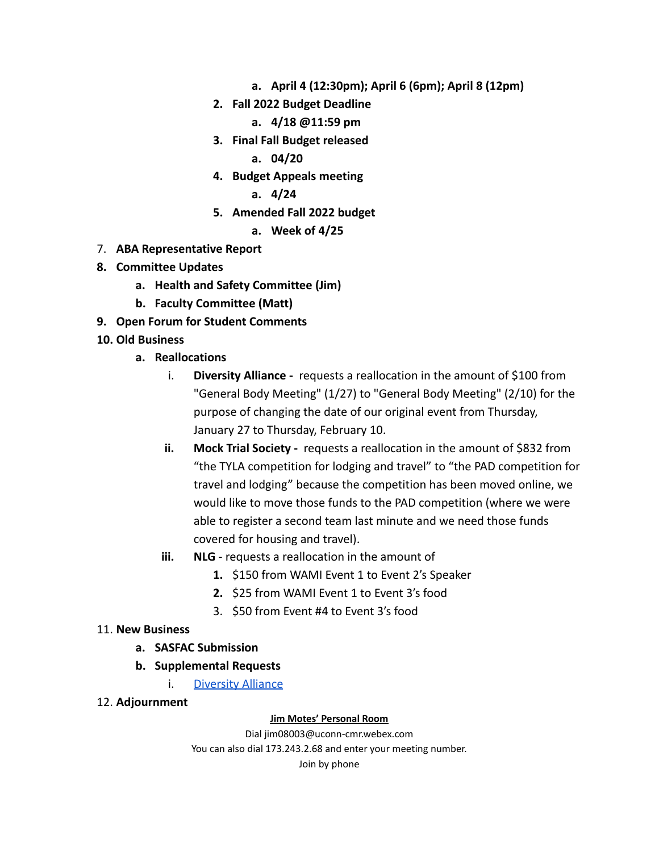- **a. April 4 (12:30pm); April 6 (6pm); April 8 (12pm)**
- **2. Fall 2022 Budget Deadline**
	- **a. 4/18 @11:59 pm**
- **3. Final Fall Budget released**
	- **a. 04/20**
- **4. Budget Appeals meeting**

**a. 4/24**

- **5. Amended Fall 2022 budget**
	- **a. Week of 4/25**
- 7. **ABA Representative Report**
- **8. Committee Updates**
	- **a. Health and Safety Committee (Jim)**
	- **b. Faculty Committee (Matt)**
- **9. Open Forum for Student Comments**
- **10. Old Business**
	- **a. Reallocations**
		- i. **Diversity Alliance -** requests a reallocation in the amount of \$100 from "General Body Meeting" (1/27) to "General Body Meeting" (2/10) for the purpose of changing the date of our original event from Thursday, January 27 to Thursday, February 10.
		- **ii. Mock Trial Society -** requests a reallocation in the amount of \$832 from "the TYLA competition for lodging and travel" to "the PAD competition for travel and lodging" because the competition has been moved online, we would like to move those funds to the PAD competition (where we were able to register a second team last minute and we need those funds covered for housing and travel).
		- **iii. NLG** requests a reallocation in the amount of
			- **1.** \$150 from WAMI Event 1 to Event 2's Speaker
			- **2.** \$25 from WAMI Event 1 to Event 3's food
			- 3. \$50 from Event #4 to Event 3's food

# 11. **New Business**

- **a. SASFAC Submission**
- **b. Supplemental Requests**
	- i. [Diversity Alliance](https://docs.google.com/spreadsheets/d/1HhAZkmgt_EnEuDBFUqB8IAS93rM2NDTL/edit?usp=sharing&ouid=110553598731287467827&rtpof=true&sd=true)
- 12. **Adjournment**

## **Jim Motes' Personal Room**

Dial jim08003@uconn-cmr.webex.com You can also dial 173.243.2.68 and enter your meeting number. Join by phone